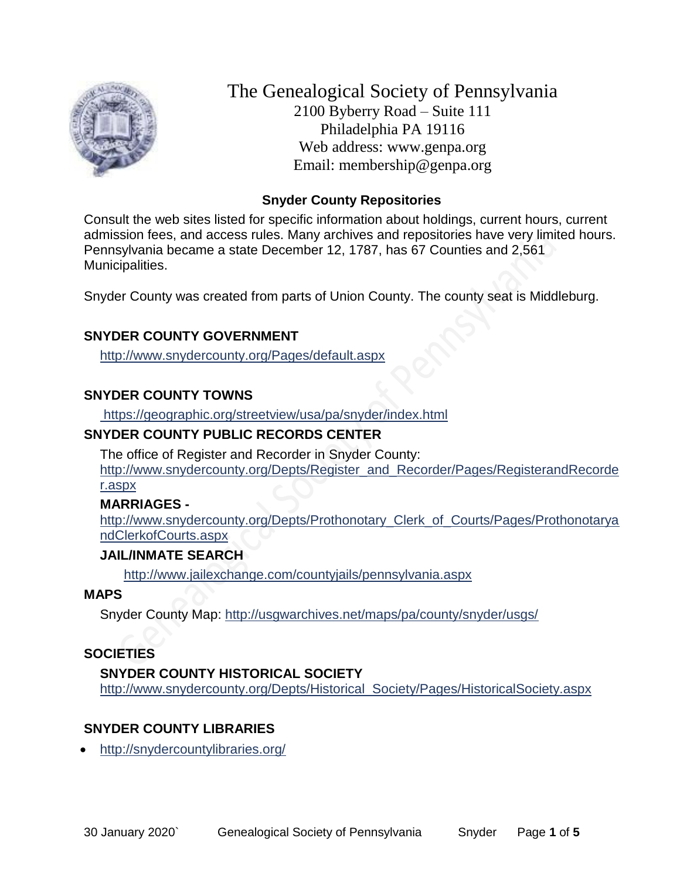

The Genealogical Society of Pennsylvania 2100 Byberry Road – Suite 111 Philadelphia PA 19116 Web address: www.genpa.org Email: membership@genpa.org

#### **Snyder County Repositories**

Consult the web sites listed for specific information about holdings, current hours, current admission fees, and access rules. Many archives and repositories have very limited hours. Pennsylvania became a state December 12, 1787, has 67 Counties and 2,561 Municipalities.

Snyder County was created from parts of Union County. The county seat is Middleburg.

## **SNYDER COUNTY GOVERNMENT**

<http://www.snydercounty.org/Pages/default.aspx>

## **SNYDER COUNTY TOWNS**

<https://geographic.org/streetview/usa/pa/snyder/index.html>

#### **SNYDER COUNTY PUBLIC RECORDS CENTER**

The office of Register and Recorder in Snyder County: [http://www.snydercounty.org/Depts/Register\\_and\\_Recorder/Pages/RegisterandRecorde](http://www.snydercounty.org/Depts/Register_and_Recorder/Pages/RegisterandRecorder.aspx) [r.aspx](http://www.snydercounty.org/Depts/Register_and_Recorder/Pages/RegisterandRecorder.aspx)

## **MARRIAGES -**

[http://www.snydercounty.org/Depts/Prothonotary\\_Clerk\\_of\\_Courts/Pages/Prothonotarya](http://www.snydercounty.org/Depts/Prothonotary_Clerk_of_Courts/Pages/ProthonotaryandClerkofCourts.aspx) [ndClerkofCourts.aspx](http://www.snydercounty.org/Depts/Prothonotary_Clerk_of_Courts/Pages/ProthonotaryandClerkofCourts.aspx)

#### **JAIL/INMATE SEARCH**

<http://www.jailexchange.com/countyjails/pennsylvania.aspx>

#### **MAPS**

Snyder County Map:<http://usgwarchives.net/maps/pa/county/snyder/usgs/>

## **SOCIETIES**

**SNYDER COUNTY HISTORICAL SOCIETY**  [http://www.snydercounty.org/Depts/Historical\\_Society/Pages/HistoricalSociety.aspx](http://www.snydercounty.org/Depts/Historical_Society/Pages/HistoricalSociety.aspx)

## **SNYDER COUNTY LIBRARIES**

<http://snydercountylibraries.org/>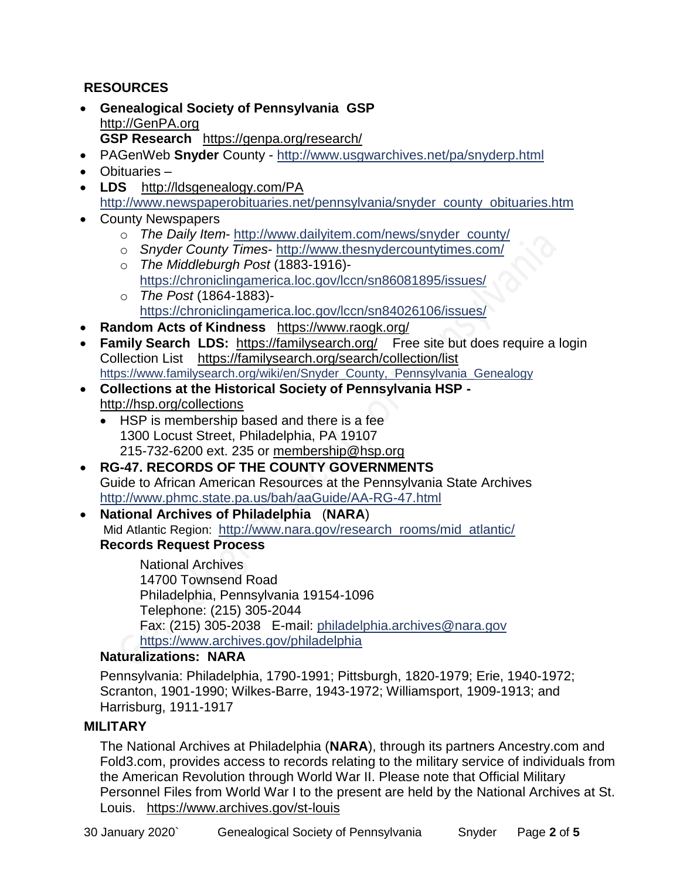# **RESOURCES**

- **Genealogical Society of Pennsylvania GSP** [http://GenPA.org](http://genpa.org/) **GSP Research** <https://genpa.org/research/>
- PAGenWeb **Snyder** County <http://www.usgwarchives.net/pa/snyderp.html>
- Obituaries –
- LDS <http://ldsgenealogy.com/PA> [http://www.newspaperobituaries.net/pennsylvania/snyder\\_county\\_obituaries.htm](http://www.newspaperobituaries.net/pennsylvania/snyder_county_obituaries.htm)
- County Newspapers
	- o *The Daily Item* [http://www.dailyitem.com/news/snyder\\_county/](http://www.dailyitem.com/news/snyder_county/)
	- o *Snyder County Times* <http://www.thesnydercountytimes.com/>
	- o *The Middleburgh Post* (1883-1916) <https://chroniclingamerica.loc.gov/lccn/sn86081895/issues/>
	- o *The Post* (1864-1883) <https://chroniclingamerica.loc.gov/lccn/sn84026106/issues/>
- **Random Acts of Kindness** <https://www.raogk.org/>
- **Family Search LDS:** <https://familysearch.org/>Free site but does require a login Collection List <https://familysearch.org/search/collection/list> [https://www.familysearch.org/wiki/en/Snyder\\_County,\\_Pennsylvania\\_Genealogy](https://www.familysearch.org/wiki/en/Snyder_County,_Pennsylvania_Genealogy)
- **Collections at the Historical Society of Pennsylvania HSP**  <http://hsp.org/collections>
	- HSP is membership based and there is a fee 1300 Locust Street, Philadelphia, PA 19107 215-732-6200 ext. 235 or [membership@hsp.org](mailto:membership@hsp.org)
- **RG-47. RECORDS OF THE COUNTY GOVERNMENTS** Guide to African American Resources at the Pennsylvania State Archives <http://www.phmc.state.pa.us/bah/aaGuide/AA-RG-47.html>
- **National Archives of Philadelphia** (**NARA**) Mid Atlantic Region: [http://www.nara.gov/research\\_rooms/mid\\_atlantic/](http://www.nara.gov/research_rooms/mid_atlantic/) **Records Request Process**

National Archives 14700 Townsend Road Philadelphia, Pennsylvania 19154-1096 Telephone: (215) 305-2044 Fax: (215) 305-2038 E-mail: [philadelphia.archives@nara.gov](mailto:philadelphia.archives@nara.gov) <https://www.archives.gov/philadelphia>

## **Naturalizations: NARA**

Pennsylvania: Philadelphia, 1790-1991; Pittsburgh, 1820-1979; Erie, 1940-1972; Scranton, 1901-1990; Wilkes-Barre, 1943-1972; Williamsport, 1909-1913; and Harrisburg, 1911-1917

## **MILITARY**

The National Archives at Philadelphia (**NARA**), through its partners Ancestry.com and Fold3.com, provides access to records relating to the military service of individuals from the American Revolution through World War II. Please note that Official Military Personnel Files from World War I to the present are held by the National Archives at St. Louis. <https://www.archives.gov/st-louis>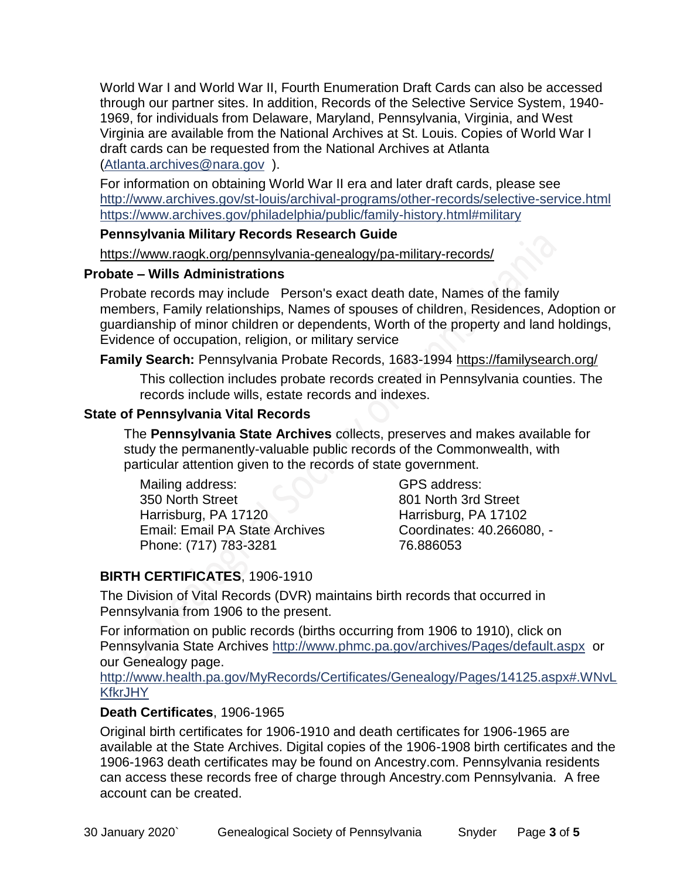World War I and World War II, Fourth Enumeration Draft Cards can also be accessed through our partner sites. In addition, Records of the Selective Service System, 1940- 1969, for individuals from Delaware, Maryland, Pennsylvania, Virginia, and West Virginia are available from the National Archives at St. Louis. Copies of World War I draft cards can be requested from the National Archives at Atlanta [\(Atlanta.archives@nara.gov](mailto:Atlanta.archives@nara.gov) ).

For information on obtaining World War II era and later draft cards, please see <http://www.archives.gov/st-louis/archival-programs/other-records/selective-service.html> <https://www.archives.gov/philadelphia/public/family-history.html#military>

#### **Pennsylvania Military Records Research Guide**

<https://www.raogk.org/pennsylvania-genealogy/pa-military-records/>

#### **Probate – Wills Administrations**

Probate records may include Person's exact death date, Names of the family members, Family relationships, Names of spouses of children, Residences, Adoption or guardianship of minor children or dependents, Worth of the property and land holdings, Evidence of occupation, religion, or military service

## **Family Search:** Pennsylvania Probate Records, 1683-1994 <https://familysearch.org/>

This collection includes probate records created in Pennsylvania counties. The records include wills, estate records and indexes.

## **State of Pennsylvania Vital Records**

The **Pennsylvania State Archives** collects, preserves and makes available for study the permanently-valuable public records of the Commonwealth, with particular attention given to the records of state government.

Mailing address: 350 North Street Harrisburg, PA 17120 Email: Email PA State Archives Phone: (717) 783-3281

GPS address: 801 North 3rd Street Harrisburg, PA 17102 Coordinates: 40.266080, - 76.886053

# **BIRTH CERTIFICATES**, 1906-1910

The Division of Vital Records (DVR) maintains birth records that occurred in Pennsylvania from 1906 to the present.

For information on public records (births occurring from 1906 to 1910), click on Pennsylvania State Archives <http://www.phmc.pa.gov/archives/Pages/default.aspx>or our Genealogy page.

[http://www.health.pa.gov/MyRecords/Certificates/Genealogy/Pages/14125.aspx#.WNvL](http://www.health.pa.gov/MyRecords/Certificates/Genealogy/Pages/14125.aspx#.WNvLKfkrJHY) **[KfkrJHY](http://www.health.pa.gov/MyRecords/Certificates/Genealogy/Pages/14125.aspx#.WNvLKfkrJHY)** 

## **Death Certificates**, 1906-1965

Original birth certificates for 1906-1910 and death certificates for 1906-1965 are available at the State Archives. Digital copies of the 1906-1908 birth certificates and the 1906-1963 death certificates may be found on Ancestry.com. Pennsylvania residents can access these records free of charge through Ancestry.com Pennsylvania. A free account can be created.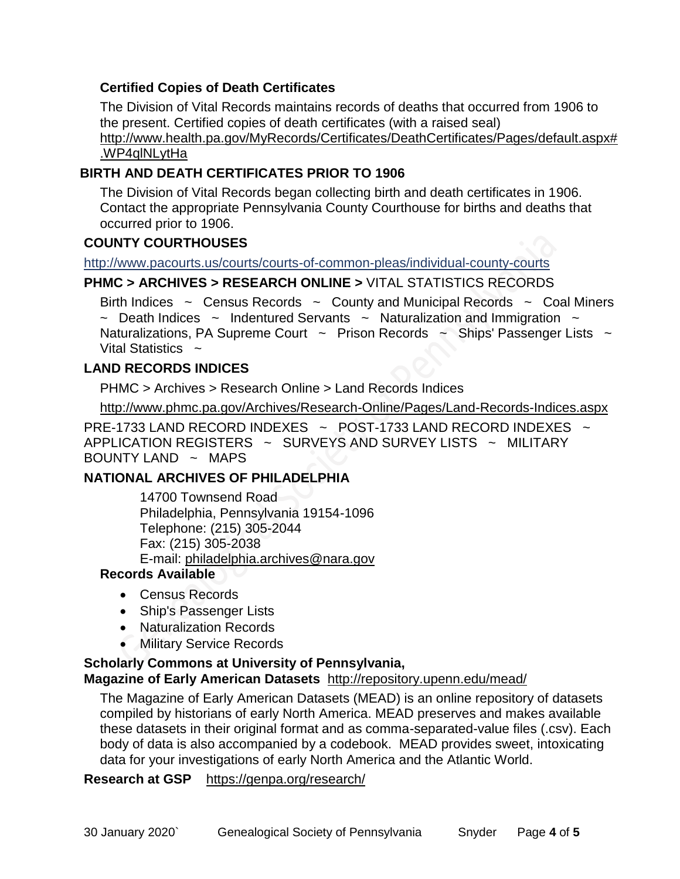## **Certified Copies of Death Certificates**

The Division of Vital Records maintains records of deaths that occurred from 1906 to the present. Certified copies of death certificates (with a raised seal) http://www.health.pa.gov/MyRecords/Certificates/DeathCertificates/Pages/default.aspx# .WP4qlNLytHa

## **BIRTH AND DEATH CERTIFICATES PRIOR TO 1906**

The Division of Vital Records began collecting birth and death certificates in 1906. Contact the appropriate Pennsylvania County Courthouse for births and deaths that occurred prior to 1906.

# **COUNTY COURTHOUSES**

<http://www.pacourts.us/courts/courts-of-common-pleas/individual-county-courts>

#### **PHMC > ARCHIVES > RESEARCH ONLINE >** [VITAL STATISTICS RECORDS](http://www.phmc.pa.gov/Archives/Research-Online/Pages/Vital-Statistics.aspx)

Birth Indices  $\sim$  Census Records  $\sim$  County and Municipal Records  $\sim$  Coal Miners ~ Death Indices ~ Indentured Servants ~ Naturalization and Immigration ~ Naturalizations, PA Supreme Court  $\sim$  Prison Records  $\sim$  Ships' Passenger Lists  $\sim$ Vital Statistics  $\sim$ 

# **LAND RECORDS INDICES**

PHMC > Archives > Research Online > Land Records Indices

<http://www.phmc.pa.gov/Archives/Research-Online/Pages/Land-Records-Indices.aspx>

PRE-1733 LAND RECORD INDEXES ~ POST-1733 LAND RECORD INDEXES ~ APPLICATION REGISTERS ~ SURVEYS AND SURVEY LISTS ~ MILITARY BOUNTY LAND  $\sim$  MAPS

## **NATIONAL ARCHIVES OF PHILADELPHIA**

14700 Townsend Road Philadelphia, Pennsylvania 19154-1096 Telephone: (215) 305-2044 Fax: (215) 305-2038 E-mail: [philadelphia.archives@nara.gov](mailto:philadelphia.archives@nara.gov)

## **Records Available**

- Census Records
- Ship's Passenger Lists
- Naturalization Records
- **Military Service Records**

#### **Scholarly Commons at University of Pennsylvania,**

#### **Magazine of Early American Datasets** <http://repository.upenn.edu/mead/>

The Magazine of Early American Datasets (MEAD) is an online repository of datasets compiled by historians of early North America. MEAD preserves and makes available these datasets in their original format and as comma-separated-value files (.csv). Each body of data is also accompanied by a codebook. MEAD provides sweet, intoxicating data for your investigations of early North America and the Atlantic World.

#### **Research at GSP** <https://genpa.org/research/>